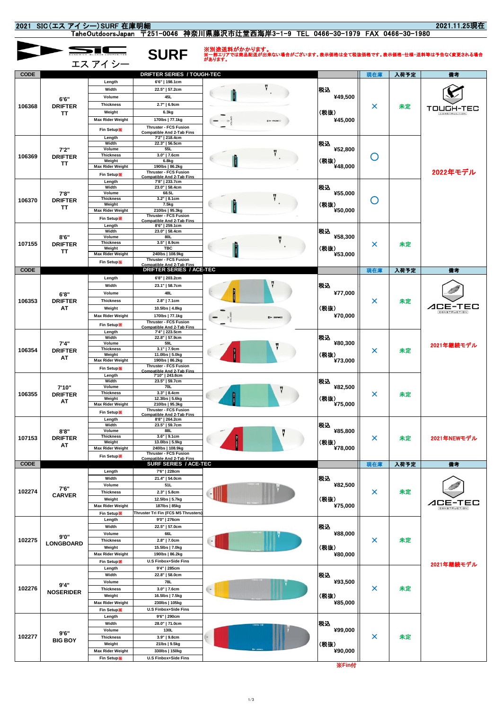| 2021.11.25現在<br>2021 SIC (エス アイシー) SURF 在庫明細                                    |                               |                                   |                                                                  |              |            |                                       |            |         |                                                                           |
|---------------------------------------------------------------------------------|-------------------------------|-----------------------------------|------------------------------------------------------------------|--------------|------------|---------------------------------------|------------|---------|---------------------------------------------------------------------------|
| TaheOutdoorsJapan 〒251-0046 神奈川県藤沢市辻堂西海岸3-1-9 TEL 0466-30-1979 FAX 0466-30-1980 |                               |                                   |                                                                  |              |            |                                       |            |         |                                                                           |
|                                                                                 |                               |                                   | <b>SURF</b>                                                      | ※別途送料がかかります。 |            |                                       |            |         | ※一部エリアでは商品配送が出来ない場合がございます。表示価格は全て税抜価格です。表示価格・仕様・送料等は予告なく変更される場合<br>があります。 |
|                                                                                 |                               | エス アイシー                           |                                                                  |              |            |                                       |            |         |                                                                           |
| <b>CODE</b>                                                                     |                               |                                   | DRIFTER SERIES / TOUGH-TEC                                       |              |            |                                       | 現在庫        | 入荷予定    | 備考                                                                        |
|                                                                                 |                               | Length                            | 6'6"   198.1cm                                                   |              |            |                                       |            |         |                                                                           |
| 106368                                                                          |                               | Width                             | 22.5"   57.2cm                                                   |              |            | 税込                                    |            |         |                                                                           |
|                                                                                 | 6'6"<br><b>DRIFTER</b><br>TΤ  | Volume<br><b>Thickness</b>        | 45L<br>2.7"   6.9cm                                              |              |            | ¥49,500                               |            |         |                                                                           |
|                                                                                 |                               | Weight                            | 6.3kg                                                            |              |            | (税抜)                                  | ×          | 未定      | TOUGH-TEC<br>CONSTRUCTION                                                 |
|                                                                                 |                               | <b>Max Rider Weight</b>           | 170lbs   77.1kg                                                  |              |            | ¥45,000                               |            |         |                                                                           |
|                                                                                 |                               | <b>Fin Setup※</b>                 | Thruster - FCS Fusion<br><b>Compatible And 2-Tab Fins</b>        |              |            |                                       |            |         |                                                                           |
|                                                                                 | 7'2"<br><b>DRIFTER</b><br>TΤ  | Length<br>Width                   | 7'2"   218.4cm<br>22.3"   56.5cm                                 |              |            | 税込                                    |            |         |                                                                           |
|                                                                                 |                               | Volume<br><b>Thickness</b>        | 55L<br>$3.0"$   $7.6cm$                                          |              |            | ¥52,800<br>(税抜)                       |            |         |                                                                           |
| 106369                                                                          |                               | Weight                            | 6.8kg                                                            |              |            |                                       | ( )        |         |                                                                           |
|                                                                                 |                               | <b>Max Rider Weight</b>           | 190lbs   86.2kg<br>Thruster - FCS Fusion                         |              |            | ¥48,000                               |            |         | 2022年モデル                                                                  |
|                                                                                 |                               | Fin Setup<br>Length               | <b>Compatible And 2-Tab Fins</b><br>7'8"   233.7cm               |              |            |                                       |            |         |                                                                           |
|                                                                                 | 7'8"                          | Width<br>Volume                   | 23.0"   58.4cm<br>68.5L                                          |              |            | 税込<br>¥55,000                         |            |         |                                                                           |
| 106370                                                                          | <b>DRIFTER</b>                | <b>Thickness</b>                  | $3.2"$   8.1cm                                                   |              |            |                                       | $\bigcirc$ |         |                                                                           |
|                                                                                 | TΤ                            | Weight<br><b>Max Rider Weight</b> | 7.5kg<br>210lbs   95.3kg                                         |              |            | (税抜)<br>¥50,000                       |            |         |                                                                           |
|                                                                                 |                               | <b>Fin Setup※</b>                 | Thruster - FCS Fusion<br><b>Compatible And 2-Tab Fins</b>        |              |            |                                       |            |         |                                                                           |
|                                                                                 |                               | Length<br>Width                   | 8'6"   259.1cm<br>23.0"   58.4cm                                 |              |            | 税込                                    |            |         |                                                                           |
|                                                                                 | 8'6''                         | Volume<br><b>Thickness</b>        | 80L<br>$3.5"$   8.9cm                                            |              |            | ¥58,300                               |            |         |                                                                           |
| 107155                                                                          | <b>DRIFTER</b><br>TΤ          | Weight                            | TBC                                                              |              |            | (税抜)                                  | ×          | 未定      |                                                                           |
|                                                                                 |                               | <b>Max Rider Weight</b>           | 240lbs   108.9kg<br><b>Thruster - FCS Fusion</b>                 |              |            | ¥53,000                               |            |         |                                                                           |
| <b>CODE</b>                                                                     |                               | <b>Fin Setup※</b>                 | <b>Compatible And 2-Tab Fins</b><br>DRIFTER SERIES / ACE-TEC     |              |            |                                       | 現在庫        | 入荷予定    | 備考                                                                        |
|                                                                                 |                               | Length                            | 6'8"   203.2cm                                                   |              |            |                                       |            |         |                                                                           |
|                                                                                 |                               | Width                             | 23.1"   58.7cm                                                   |              |            | 税込                                    | ×          | 未定      |                                                                           |
| 106353                                                                          | 6'8"<br><b>DRIFTER</b>        | Volume<br><b>Thickness</b>        | 48L<br>2.8"   7.1cm                                              |              |            | ¥77,000                               |            |         |                                                                           |
|                                                                                 | AT                            | Weight                            | 10.5lbs   4.8kg                                                  |              |            | (税抜)                                  |            |         | ACE-TEC<br>CONSTRUCTION                                                   |
|                                                                                 |                               | <b>Max Rider Weight</b>           | 170lbs   77.1kg                                                  |              | $F = T$    | ¥70,000                               |            |         |                                                                           |
|                                                                                 |                               | <b>Fin Setup※</b>                 | <b>Thruster - FCS Fusion</b><br><b>Compatible And 2-Tab Fins</b> |              |            |                                       |            |         |                                                                           |
|                                                                                 |                               | Length<br>Width                   | 7'4"   223.5cm<br>22.8"   57.9cm                                 |              | 税込         |                                       |            | 未定      |                                                                           |
| 106354                                                                          | 7'4''<br><b>DRIFTER</b>       | Volume<br><b>Thickness</b>        | 59L<br>$3.1"$   $7.9cm$                                          |              |            | ¥80,300                               | ×          |         | 2021年継続モデル                                                                |
|                                                                                 | AT                            | Weight<br><b>Max Rider Weight</b> | 11.0lbs   5.0kg<br>190lbs   86.2kg                               |              |            | (税抜)                                  |            |         |                                                                           |
|                                                                                 |                               | <b>Fin Setup※</b>                 | <b>Thruster - FCS Fusion</b>                                     |              |            | ¥73,000                               |            |         |                                                                           |
|                                                                                 |                               | Length                            | <b>Compatible And 2-Tab Fins</b><br>7'10"   243.8cm              |              |            |                                       |            |         |                                                                           |
|                                                                                 | 7'10"                         | Width<br>Volume                   | 23.5"   59.7cm<br>70L                                            | П            |            | 税込<br>¥82.500<br>x<br>(祝阪)            |            |         |                                                                           |
| 106355                                                                          | <b>DRIFTER</b>                | <b>Thickness</b><br>Weight        | $3.3"$   8.4cm<br>12.3lbs   5.6kg                                |              |            |                                       |            | 未定      |                                                                           |
|                                                                                 | AT                            | <b>Max Rider Weight</b>           | 210lbs   95.3kg<br><b>Thruster - FCS Fusion</b>                  |              |            | ¥75,000                               |            |         |                                                                           |
|                                                                                 |                               | Fin Setup<br>Length               | <b>Compatible And 2-Tab Fins</b><br>8'8"   264.2cm               |              |            |                                       |            |         |                                                                           |
|                                                                                 | 8'8''<br><b>DRIFTER</b><br>AΤ | Width                             | 23.5"   59.7cm                                                   |              |            | 税込<br>¥85,800<br>×<br>(税抜)<br>¥78,000 |            |         |                                                                           |
| 107153                                                                          |                               | Volume<br><b>Thickness</b>        | 88L<br>$3.6"$   9.1cm                                            |              |            |                                       |            | 未定      | 2021年NEWモデル                                                               |
|                                                                                 |                               | Weight<br><b>Max Rider Weight</b> | 13.0lbs   5.9kg<br>240lbs   108.9kg                              |              |            |                                       |            |         |                                                                           |
|                                                                                 |                               | <b>Fin Setup※</b>                 | <b>Thruster - FCS Fusion</b><br><b>Compatible And 2-Tab Fins</b> |              |            |                                       |            |         |                                                                           |
| <b>CODE</b>                                                                     |                               |                                   | SURF SERIES / ACE-TEC                                            |              |            |                                       | 現在庫        | 入荷予定    | 備考                                                                        |
|                                                                                 | 7'6"<br><b>CARVER</b>         | Length<br>Width                   | 7'6"   228cm<br>21.4"   54.0cm                                   |              |            | 税込                                    |            |         |                                                                           |
|                                                                                 |                               | Volume                            | 51L                                                              |              |            | ¥82,500                               |            |         |                                                                           |
| 102274                                                                          |                               | <b>Thickness</b><br>Weight        | 2.3"   5.8cm<br>12.5lbs   5.7kg                                  |              |            | (税抜)                                  | ×          | 未定      |                                                                           |
|                                                                                 |                               | <b>Max Rider Weight</b>           | 187lbs   85kg                                                    |              |            | ¥75,000                               |            |         | E-TEC<br>⊿⊏                                                               |
|                                                                                 |                               | Fin Setup                         | Thruster Tri Fin (FCS M5 Thrusters)                              |              |            |                                       |            |         |                                                                           |
|                                                                                 |                               | Length<br>Width                   | 9'0"   276cm<br>22.5"   57.0cm                                   |              | 税込<br>(税抜) | ¥88,000<br>×                          |            |         |                                                                           |
|                                                                                 | 9'0"<br><b>LONGBOARD</b>      | Volume                            | 66L                                                              |              |            |                                       |            | 未定      |                                                                           |
| 102275                                                                          |                               | <b>Thickness</b><br>Weight        | 2.8"   7.0cm<br>15.5lbs   7.0kg                                  |              |            |                                       |            |         |                                                                           |
|                                                                                 |                               | <b>Max Rider Weight</b>           | 190lbs   86.2kg                                                  |              |            | ¥80,000                               |            |         |                                                                           |
|                                                                                 |                               | <b>Fin Setup※</b>                 | U.S Finbox+Side Fins                                             |              |            |                                       |            |         | 2021年継続モデル                                                                |
|                                                                                 |                               | Length<br>Width                   | 9'4"   285cm<br>22.8"   58.0cm                                   |              |            | 税込                                    |            |         |                                                                           |
| 102276                                                                          | 9'4"<br><b>NOSERIDER</b>      | Volume                            | 78L                                                              |              |            | ¥93,500                               | 未定<br>×    |         |                                                                           |
|                                                                                 |                               | <b>Thickness</b><br>Weight        | $3.0"$   $7.6cm$<br>16.5lbs   7.5kg                              |              |            | (税抜)                                  |            |         |                                                                           |
|                                                                                 |                               | <b>Max Rider Weight</b>           | 230lbs   105kg                                                   |              |            | ¥85,000                               |            |         |                                                                           |
|                                                                                 |                               | <b>Fin Setup※</b><br>Length       | <b>U.S Finbox+Side Fins</b><br>9'6"   290cm                      |              |            |                                       |            |         |                                                                           |
|                                                                                 |                               | Width                             | 28.0"   71.0cm                                                   |              |            | 税込<br>¥99,000                         |            | 未定<br>× |                                                                           |
| 102277                                                                          | 9'6''                         | Volume                            | 130L                                                             |              |            |                                       |            |         |                                                                           |
|                                                                                 | <b>BIG BOY</b>                | <b>Thickness</b><br>Weight        | 3.9"   9.8cm<br>21lbs   9.5kg                                    |              |            | (税抜)                                  |            |         |                                                                           |
|                                                                                 |                               | <b>Max Rider Weight</b>           | 330lbs   150kg                                                   |              |            | ¥90,000                               |            |         |                                                                           |
|                                                                                 |                               | <b>Fin Setup※</b>                 | <b>U.S Finbox+Side Fins</b>                                      |              |            |                                       |            |         |                                                                           |

※**Fin**付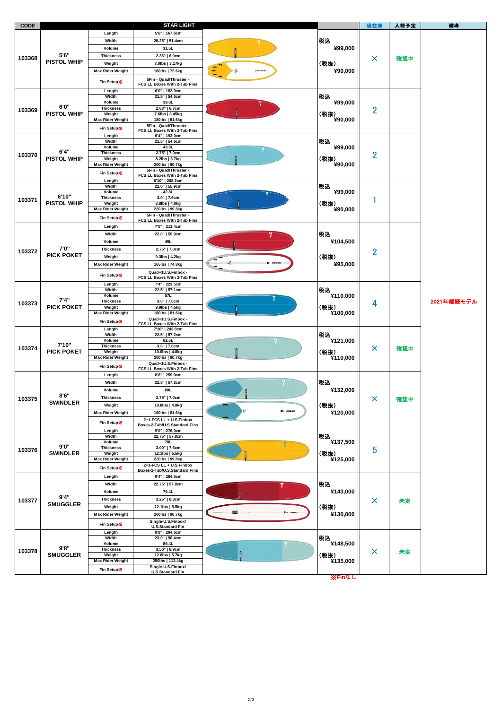| <b>CODE</b> |                            |                            | <b>STAR LIGHT</b>                                  |                 |                                                 | 現在庫            | 入荷予定       | 備考 |
|-------------|----------------------------|----------------------------|----------------------------------------------------|-----------------|-------------------------------------------------|----------------|------------|----|
|             |                            | Length                     | 5'6"   167.6cm                                     |                 | 税込                                              | ×              | 確認中        |    |
| 103368      |                            | Width                      | 20.25"   51.4cm                                    |                 |                                                 |                |            |    |
|             |                            | Volume                     | 31.5L                                              |                 | ¥99,000                                         |                |            |    |
|             | 5'6"<br><b>PISTOL WHIP</b> | <b>Thickness</b>           | $2.36"$   6.0cm                                    |                 |                                                 |                |            |    |
|             |                            | Weight                     | 7.0lbs   3.17kg                                    |                 | (税抜)                                            |                |            |    |
|             |                            | <b>Max Rider Weight</b>    | 160lbs   72.6kg                                    |                 | ¥90,000                                         |                |            |    |
|             |                            |                            | 5Fin - Quad/Thruster -                             |                 |                                                 |                |            |    |
|             |                            | <b>Fin Setup※</b>          | FCS LL Boxes With 2-Tab Fins                       |                 |                                                 |                |            |    |
|             |                            | Length                     | 6'0"   182.9cm                                     |                 |                                                 |                |            |    |
| 103369      | 6'0"<br><b>PISTOL WHIP</b> | Width                      | 21.5"   54.6cm                                     |                 | 税込                                              | 2              |            |    |
|             |                            | Volume<br><b>Thickness</b> | 39.8L<br>2.63"   6.7cm                             |                 | ¥99,000<br>(税抜)<br>¥90,000                      |                |            |    |
|             |                            | Weight                     | 7.6lbs   3.45kg                                    |                 |                                                 |                |            |    |
|             |                            | Max Rider Weight           | 180lbs   81.6kg                                    |                 |                                                 |                |            |    |
|             |                            | <b>Fin Setup※</b>          | 5Fin - Quad/Thruster -                             |                 |                                                 |                |            |    |
|             |                            | Length                     | FCS LL Boxes With 2-Tab Fins<br>6'4"   193.0cm     |                 |                                                 |                |            |    |
|             | 6'4"<br><b>PISTOL WHIP</b> | Width                      | 21.5"   54.6cm                                     |                 | 税込<br>¥99,000<br>(税抜)<br>¥90,000                | 2              |            |    |
|             |                            | Volume                     | 43.9L                                              |                 |                                                 |                |            |    |
| 103370      |                            | <b>Thickness</b><br>Weight | 2.75"   7.0cm<br>8.2lbs   3.7kg                    |                 |                                                 |                |            |    |
|             |                            | <b>Max Rider Weight</b>    | 200lbs   90.7kg                                    |                 |                                                 |                |            |    |
|             |                            | Fin Setup                  | 5Fin - Quad/Thruster -                             |                 |                                                 |                |            |    |
|             |                            | Length                     | FCS LL Boxes With 2-Tab Fins<br>6'10"   208.2cm    |                 |                                                 |                |            |    |
|             |                            | Width                      | 22.0"   55.9cm                                     |                 | 税込                                              |                |            |    |
|             |                            | Volume                     | 42.8L                                              |                 | ¥99,000                                         |                |            |    |
| 103371      | 6'10"                      | <b>Thickness</b>           | $3.0''$   $7.6cm$                                  |                 |                                                 | 1              |            |    |
|             | <b>PISTOL WHIP</b>         | Weight<br>Max Rider Weight | 8.8lbs   4.0kg<br>220lbs   99.8kg                  |                 | (税抜)<br>¥90,000                                 |                |            |    |
|             |                            |                            | 5Fin - Quad/Thruster -                             |                 |                                                 |                |            |    |
|             |                            | Fin Setup                  | FCS LL Boxes With 2-Tab Fins                       |                 |                                                 |                |            |    |
|             |                            | Length                     | 7'0"   213.4cm                                     |                 |                                                 |                |            |    |
|             |                            | Width                      | 22.0"   55.9cm                                     |                 | 税込                                              |                |            |    |
|             |                            | Volume                     | 49L                                                |                 | ¥104,500                                        |                |            |    |
| 103372      | 7'0"                       | <b>Thickness</b>           | 2.75"   7.0cm                                      |                 |                                                 | $\overline{2}$ |            |    |
|             | <b>PICK POKET</b>          | Weight                     | 9.3lbs   4.2kg                                     |                 | (税抜)                                            |                |            |    |
|             |                            | <b>Max Rider Weight</b>    | 165lbs   74.8kg                                    |                 | ¥95,000                                         |                |            |    |
|             |                            | <b>Fin Setup※</b>          | Quad+1U.S.Finbox -                                 |                 |                                                 |                |            |    |
|             |                            |                            | FCS LL Boxes With 2-Tab Fins                       |                 |                                                 |                |            |    |
|             |                            | Length                     | 7'4"   223.5cm                                     |                 |                                                 |                |            |    |
|             |                            | Width<br>Volume            | 22.5"   57.1cm<br>57L                              |                 | 税込<br>¥110,000                                  |                |            |    |
| 103373      | 7'4''                      | <b>Thickness</b>           | $3.0"$   $7.6cm$                                   |                 | 4                                               |                | 2021年継続モデル |    |
|             | <b>PICK POKET</b>          | Weight                     | 9.9lbs   4.5kg                                     |                 | (税抜)                                            |                |            |    |
|             |                            | Max Rider Weight           | 180lbs   81.6kg                                    |                 | ¥100,000                                        |                |            |    |
|             |                            | Fin Setup                  | Quad+1U.S.Finbox -<br>FCS LL Boxes With 2-Tab Fins |                 |                                                 |                |            |    |
|             |                            | Length                     | 7'10"   243.8cm                                    |                 |                                                 |                | 確認中        |    |
|             |                            | Width                      | 22.5"   57.2cm                                     |                 | 税込                                              |                |            |    |
|             | 7'10"                      | Volume<br><b>Thickness</b> | 62.5L<br>$3.0''$   7.6cm                           |                 | ¥121,000<br>(税抜)<br>¥110,000                    | ×              |            |    |
| 103374      | <b>PICK POKET</b>          | Weight                     | 10.6lbs   4.8kg                                    |                 |                                                 |                |            |    |
|             |                            | Max Rider Weight           | 200lbs   90.7kg                                    |                 |                                                 |                |            |    |
|             |                            | Fin Setup*                 | Quad+1U.S.Finbox -<br>FCS LL Boxes With 2-Tab Fins |                 |                                                 |                |            |    |
|             |                            | Length                     | 8'6"   259.0cm                                     |                 |                                                 |                |            |    |
|             | 8'6''<br><b>SWINDLER</b>   | Width                      | 22.5"   57.2cm                                     |                 | 税込<br>¥132,000<br>(税抜)<br>$E = 500$<br>¥120,000 | $\mathsf{x}$   | 確認中        |    |
|             |                            | Volume                     | 60L                                                |                 |                                                 |                |            |    |
|             |                            | <b>Thickness</b>           | 2.75"   7.0cm                                      |                 |                                                 |                |            |    |
| 103375      |                            | Weight                     | 10.8lbs   4.9kg                                    |                 |                                                 |                |            |    |
|             |                            | <b>Max Rider Weight</b>    | 180lbs   81.6kg                                    |                 |                                                 |                |            |    |
|             |                            |                            | 2+1-FCS LL + U.S.Finbox                            |                 |                                                 |                |            |    |
|             |                            | <b>Fin Setup※</b>          | Boxes-2-Tab/U.S.Standard Fins                      |                 |                                                 |                |            |    |
|             | 9'0"<br><b>SWINDLER</b>    | Length                     | 9'0"   276.0cm                                     |                 |                                                 |                |            |    |
|             |                            | Width<br>Volume            | 22.75"   57.8cm<br>70L                             |                 | 税込<br>¥137,500                                  | 5<br>¥125,000  |            |    |
| 103376      |                            | <b>Thickness</b>           | 3.00"   7.6cm                                      | V               |                                                 |                |            |    |
|             |                            | Weight                     | 12.1lbs   5.5kg                                    |                 | (税抜)                                            |                |            |    |
|             |                            | Max Rider Weight           | 220lbs   99.8kg<br>2+1-FCS LL + U.S.Finbox         |                 |                                                 |                |            |    |
|             |                            | Fin Setup                  | Boxes-2-Tab/U.S.Standard Fins                      |                 |                                                 |                |            |    |
|             |                            | Length                     | 9'4"   284.5cm                                     |                 |                                                 |                |            |    |
|             |                            | Width                      | 22.75"   57.8cm                                    | υ               | 税込                                              |                |            |    |
|             |                            | Volume                     | 79.4L                                              |                 | ¥143,000                                        |                |            |    |
|             | 9'4"                       | <b>Thickness</b>           | $3.25"$   8.3cm                                    |                 |                                                 |                |            |    |
| 103377      | <b>SMUGGLER</b>            | Weight                     | 12.1lbs   5.5kg                                    |                 | (税抜)<br>¥130,000                                | ×              | 未定         |    |
|             |                            | <b>Max Rider Weight</b>    | 200lbs   90.7kg                                    | 83<br>$E = 100$ |                                                 |                |            |    |
|             |                            |                            | Single-U.S.Finbox/                                 |                 |                                                 |                |            |    |
|             |                            | Fin Setup                  | <b>U.S.Standard Fin</b>                            |                 |                                                 |                |            |    |
|             |                            | Length                     | 9'8"   294.6cm                                     |                 | 税込<br>¥148,500<br>(税抜)                          | x              | 未定         |    |
| 103378      | 9'8"<br><b>SMUGGLER</b>    | Width<br>Volume            | 23.0"   58.4cm<br>89.4L                            |                 |                                                 |                |            |    |
|             |                            | <b>Thickness</b>           | 3.50"   8.9cm                                      |                 |                                                 |                |            |    |
|             |                            | Weight                     | 12.6lbs   5.7kg                                    |                 |                                                 |                |            |    |
|             |                            | Max Rider Weight           | 250lbs   113.4kg                                   |                 | ¥135,000                                        |                |            |    |
|             |                            | <b>Fin Setup※</b>          | Single-U.S.Finbox/<br><b>U.S.Standard Fin</b>      |                 |                                                 |                |            |    |
|             |                            |                            |                                                    |                 |                                                 |                |            |    |

※**Finなし**